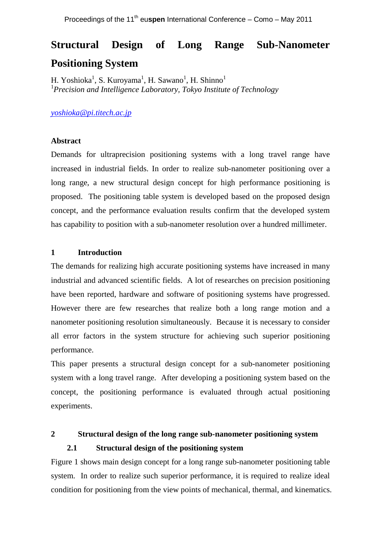# **Structural Design of Long Range Sub-Nanometer Positioning System**

H. Yoshioka<sup>1</sup>, S. Kuroyama<sup>1</sup>, H. Sawano<sup>1</sup>, H. Shinno<sup>1</sup> <sup>1</sup>*Precision and Intelligence Laboratory, Tokyo Institute of Technology*

*yoshioka@pi.titech.ac.jp*

## **Abstract**

Demands for ultraprecision positioning systems with a long travel range have increased in industrial fields. In order to realize sub-nanometer positioning over a long range, a new structural design concept for high performance positioning is proposed. The positioning table system is developed based on the proposed design concept, and the performance evaluation results confirm that the developed system has capability to position with a sub-nanometer resolution over a hundred millimeter.

## **1 Introduction**

The demands for realizing high accurate positioning systems have increased in many industrial and advanced scientific fields. A lot of researches on precision positioning have been reported, hardware and software of positioning systems have progressed. However there are few researches that realize both a long range motion and a nanometer positioning resolution simultaneously. Because it is necessary to consider all error factors in the system structure for achieving such superior positioning performance.

This paper presents a structural design concept for a sub-nanometer positioning system with a long travel range. After developing a positioning system based on the concept, the positioning performance is evaluated through actual positioning experiments.

**2 Structural design of the long range sub-nanometer positioning system**

## **2.1 Structural design of the positioning system**

Figure 1 shows main design concept for a long range sub-nanometer positioning table system. In order to realize such superior performance, it is required to realize ideal condition for positioning from the view points of mechanical, thermal, and kinematics.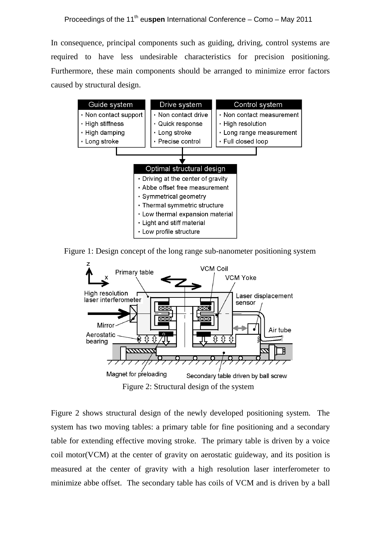In consequence, principal components such as guiding, driving, control systems are required to have less undesirable characteristics for precision positioning. Furthermore, these main components should be arranged to minimize error factors caused by structural design.



Figure 1: Design concept of the long range sub-nanometer positioning system



Figure 2: Structural design of the system

Figure 2 shows structural design of the newly developed positioning system. The system has two moving tables: a primary table for fine positioning and a secondary table for extending effective moving stroke. The primary table is driven by a voice coil motor(VCM) at the center of gravity on aerostatic guideway, and its position is measured at the center of gravity with a high resolution laser interferometer to minimize abbe offset. The secondary table has coils of VCM and is driven by a ball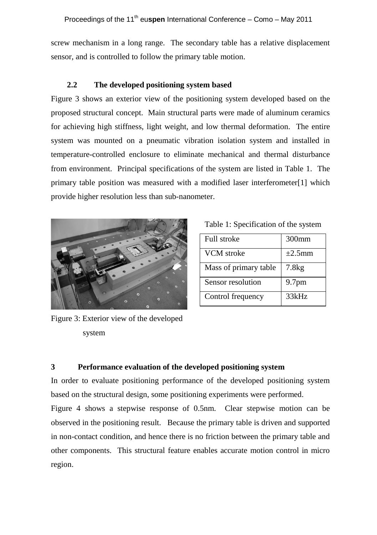screw mechanism in a long range. The secondary table has a relative displacement sensor, and is controlled to follow the primary table motion.

## **2.2 The developed positioning system based**

Figure 3 shows an exterior view of the positioning system developed based on the proposed structural concept. Main structural parts were made of aluminum ceramics for achieving high stiffness, light weight, and low thermal deformation. The entire system was mounted on a pneumatic vibration isolation system and installed in temperature-controlled enclosure to eliminate mechanical and thermal disturbance from environment. Principal specifications of the system are listed in Table 1. The primary table position was measured with a modified laser interferometer[1] which provide higher resolution less than sub-nanometer.



| Full stroke           | 300mm             |
|-----------------------|-------------------|
| VCM stroke            | $\pm 2.5$ mm      |
| Mass of primary table | 7.8kg             |
| Sensor resolution     | 9.7 <sub>pm</sub> |
| Control frequency     | 33kHz             |

Figure 3: Exterior view of the developed system

## **3 Performance evaluation of the developed positioning system**

In order to evaluate positioning performance of the developed positioning system based on the structural design, some positioning experiments were performed.

Figure 4 shows a stepwise response of 0.5nm. Clear stepwise motion can be observed in the positioning result. Because the primary table is driven and supported in non-contact condition, and hence there is no friction between the primary table and other components. This structural feature enables accurate motion control in micro region.